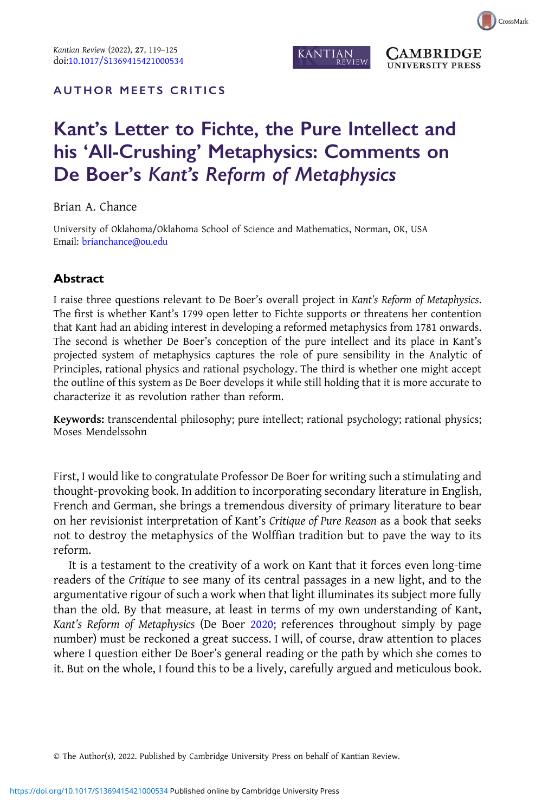

**AMBRIDGE UNIVERSITY PRESS** 

## AUTHOR MEETS CRITICS

# Kant's Letter to Fichte, the Pure Intellect and his 'All-Crushing' Metaphysics: Comments on De Boer's Kant's Reform of Metaphysics

Brian A. Chance

University of Oklahoma/Oklahoma School of Science and Mathematics, Norman, OK, USA Email: [brianchance@ou.edu](mailto:brianchance@ou.edu)

## Abstract

I raise three questions relevant to De Boer's overall project in Kant's Reform of Metaphysics. The first is whether Kant's 1799 open letter to Fichte supports or threatens her contention that Kant had an abiding interest in developing a reformed metaphysics from 1781 onwards. The second is whether De Boer's conception of the pure intellect and its place in Kant's projected system of metaphysics captures the role of pure sensibility in the Analytic of Principles, rational physics and rational psychology. The third is whether one might accept the outline of this system as De Boer develops it while still holding that it is more accurate to characterize it as revolution rather than reform.

Keywords: transcendental philosophy; pure intellect; rational psychology; rational physics; Moses Mendelssohn

First, I would like to congratulate Professor De Boer for writing such a stimulating and thought-provoking book. In addition to incorporating secondary literature in English, French and German, she brings a tremendous diversity of primary literature to bear on her revisionist interpretation of Kant's Critique of Pure Reason as a book that seeks not to destroy the metaphysics of the Wolffian tradition but to pave the way to its reform.

It is a testament to the creativity of a work on Kant that it forces even long-time readers of the Critique to see many of its central passages in a new light, and to the argumentative rigour of such a work when that light illuminates its subject more fully than the old. By that measure, at least in terms of my own understanding of Kant, Kant's Reform of Metaphysics (De Boer [2020](#page-6-0); references throughout simply by page number) must be reckoned a great success. I will, of course, draw attention to places where I question either De Boer's general reading or the path by which she comes to it. But on the whole, I found this to be a lively, carefully argued and meticulous book.

© The Author(s), 2022. Published by Cambridge University Press on behalf of Kantian Review.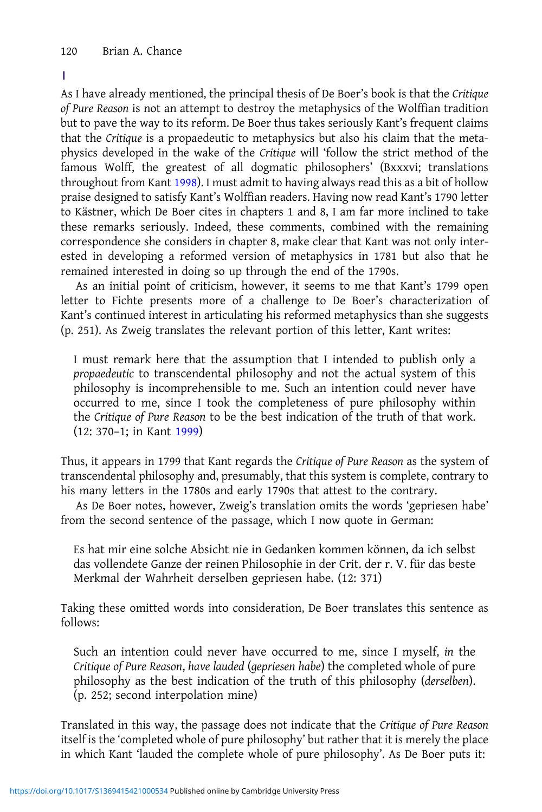#### 1

As I have already mentioned, the principal thesis of De Boer's book is that the Critique of Pure Reason is not an attempt to destroy the metaphysics of the Wolffian tradition but to pave the way to its reform. De Boer thus takes seriously Kant's frequent claims that the Critique is a propaedeutic to metaphysics but also his claim that the metaphysics developed in the wake of the Critique will 'follow the strict method of the famous Wolff, the greatest of all dogmatic philosophers' (Bxxxvi; translations throughout from Kant [1998\)](#page-6-0). I must admit to having always read this as a bit of hollow praise designed to satisfy Kant's Wolffian readers. Having now read Kant's 1790 letter to Kästner, which De Boer cites in chapters 1 and 8, I am far more inclined to take these remarks seriously. Indeed, these comments, combined with the remaining correspondence she considers in chapter 8, make clear that Kant was not only interested in developing a reformed version of metaphysics in 1781 but also that he remained interested in doing so up through the end of the 1790s.

As an initial point of criticism, however, it seems to me that Kant's 1799 open letter to Fichte presents more of a challenge to De Boer's characterization of Kant's continued interest in articulating his reformed metaphysics than she suggests (p. 251). As Zweig translates the relevant portion of this letter, Kant writes:

I must remark here that the assumption that I intended to publish only a propaedeutic to transcendental philosophy and not the actual system of this philosophy is incomprehensible to me. Such an intention could never have occurred to me, since I took the completeness of pure philosophy within the Critique of Pure Reason to be the best indication of the truth of that work. (12: 370–1; in Kant [1999](#page-6-0))

Thus, it appears in 1799 that Kant regards the Critique of Pure Reason as the system of transcendental philosophy and, presumably, that this system is complete, contrary to his many letters in the 1780s and early 1790s that attest to the contrary.

As De Boer notes, however, Zweig's translation omits the words 'gepriesen habe' from the second sentence of the passage, which I now quote in German:

Es hat mir eine solche Absicht nie in Gedanken kommen können, da ich selbst das vollendete Ganze der reinen Philosophie in der Crit. der r. V. für das beste Merkmal der Wahrheit derselben gepriesen habe. (12: 371)

Taking these omitted words into consideration, De Boer translates this sentence as follows:

Such an intention could never have occurred to me, since I myself, in the Critique of Pure Reason, have lauded (gepriesen habe) the completed whole of pure philosophy as the best indication of the truth of this philosophy (derselben). (p. 252; second interpolation mine)

Translated in this way, the passage does not indicate that the Critique of Pure Reason itself is the 'completed whole of pure philosophy' but rather that it is merely the place in which Kant 'lauded the complete whole of pure philosophy'. As De Boer puts it: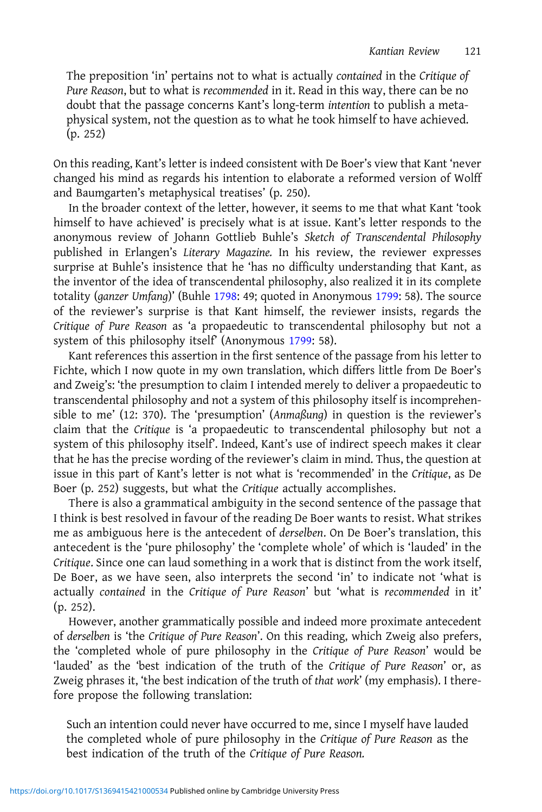The preposition 'in' pertains not to what is actually contained in the Critique of Pure Reason, but to what is recommended in it. Read in this way, there can be no doubt that the passage concerns Kant's long-term intention to publish a metaphysical system, not the question as to what he took himself to have achieved. (p. 252)

On this reading, Kant's letter is indeed consistent with De Boer's view that Kant 'never changed his mind as regards his intention to elaborate a reformed version of Wolff and Baumgarten's metaphysical treatises' (p. 250).

In the broader context of the letter, however, it seems to me that what Kant 'took himself to have achieved' is precisely what is at issue. Kant's letter responds to the anonymous review of Johann Gottlieb Buhle's Sketch of Transcendental Philosophy published in Erlangen's Literary Magazine. In his review, the reviewer expresses surprise at Buhle's insistence that he 'has no difficulty understanding that Kant, as the inventor of the idea of transcendental philosophy, also realized it in its complete totality (ganzer Umfang)' (Buhle [1798](#page-5-0): 49; quoted in Anonymous [1799:](#page-5-0) 58). The source of the reviewer's surprise is that Kant himself, the reviewer insists, regards the Critique of Pure Reason as 'a propaedeutic to transcendental philosophy but not a system of this philosophy itself' (Anonymous [1799:](#page-5-0) 58).

Kant references this assertion in the first sentence of the passage from his letter to Fichte, which I now quote in my own translation, which differs little from De Boer's and Zweig's: 'the presumption to claim I intended merely to deliver a propaedeutic to transcendental philosophy and not a system of this philosophy itself is incomprehensible to me' (12: 370). The 'presumption' (Anmaßung) in question is the reviewer's claim that the Critique is 'a propaedeutic to transcendental philosophy but not a system of this philosophy itself'. Indeed, Kant's use of indirect speech makes it clear that he has the precise wording of the reviewer's claim in mind. Thus, the question at issue in this part of Kant's letter is not what is 'recommended' in the Critique, as De Boer (p. 252) suggests, but what the Critique actually accomplishes.

There is also a grammatical ambiguity in the second sentence of the passage that I think is best resolved in favour of the reading De Boer wants to resist. What strikes me as ambiguous here is the antecedent of derselben. On De Boer's translation, this antecedent is the 'pure philosophy' the 'complete whole' of which is 'lauded' in the Critique. Since one can laud something in a work that is distinct from the work itself, De Boer, as we have seen, also interprets the second 'in' to indicate not 'what is actually contained in the Critique of Pure Reason' but 'what is recommended in it' (p. 252).

However, another grammatically possible and indeed more proximate antecedent of derselben is 'the Critique of Pure Reason'. On this reading, which Zweig also prefers, the 'completed whole of pure philosophy in the Critique of Pure Reason' would be 'lauded' as the 'best indication of the truth of the Critique of Pure Reason' or, as Zweig phrases it, 'the best indication of the truth of that work' (my emphasis). I therefore propose the following translation:

Such an intention could never have occurred to me, since I myself have lauded the completed whole of pure philosophy in the Critique of Pure Reason as the best indication of the truth of the Critique of Pure Reason.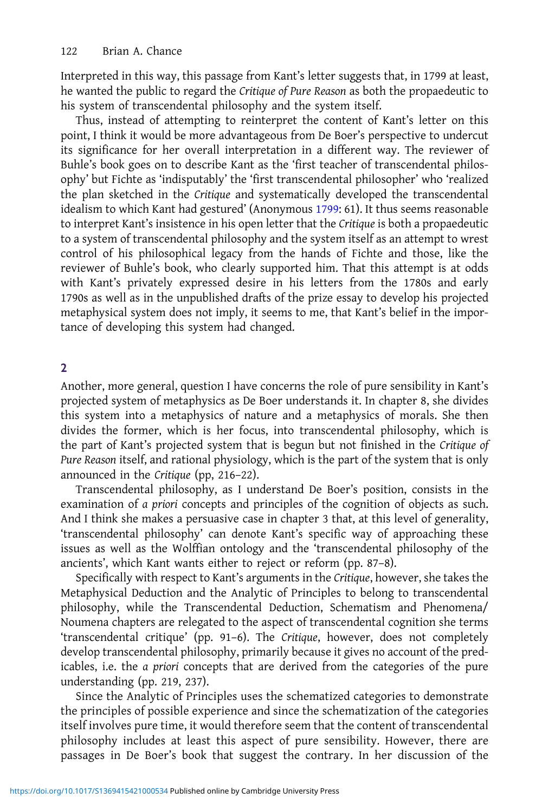Interpreted in this way, this passage from Kant's letter suggests that, in 1799 at least, he wanted the public to regard the Critique of Pure Reason as both the propaedeutic to his system of transcendental philosophy and the system itself.

Thus, instead of attempting to reinterpret the content of Kant's letter on this point, I think it would be more advantageous from De Boer's perspective to undercut its significance for her overall interpretation in a different way. The reviewer of Buhle's book goes on to describe Kant as the 'first teacher of transcendental philosophy' but Fichte as 'indisputably' the 'first transcendental philosopher' who 'realized the plan sketched in the Critique and systematically developed the transcendental idealism to which Kant had gestured' (Anonymous [1799](#page-5-0): 61). It thus seems reasonable to interpret Kant's insistence in his open letter that the Critique is both a propaedeutic to a system of transcendental philosophy and the system itself as an attempt to wrest control of his philosophical legacy from the hands of Fichte and those, like the reviewer of Buhle's book, who clearly supported him. That this attempt is at odds with Kant's privately expressed desire in his letters from the 1780s and early 1790s as well as in the unpublished drafts of the prize essay to develop his projected metaphysical system does not imply, it seems to me, that Kant's belief in the importance of developing this system had changed.

## $\overline{2}$

Another, more general, question I have concerns the role of pure sensibility in Kant's projected system of metaphysics as De Boer understands it. In chapter 8, she divides this system into a metaphysics of nature and a metaphysics of morals. She then divides the former, which is her focus, into transcendental philosophy, which is the part of Kant's projected system that is begun but not finished in the Critique of Pure Reason itself, and rational physiology, which is the part of the system that is only announced in the Critique (pp, 216–22).

Transcendental philosophy, as I understand De Boer's position, consists in the examination of a priori concepts and principles of the cognition of objects as such. And I think she makes a persuasive case in chapter 3 that, at this level of generality, 'transcendental philosophy' can denote Kant's specific way of approaching these issues as well as the Wolffian ontology and the 'transcendental philosophy of the ancients', which Kant wants either to reject or reform (pp. 87–8).

Specifically with respect to Kant's arguments in the Critique, however, she takes the Metaphysical Deduction and the Analytic of Principles to belong to transcendental philosophy, while the Transcendental Deduction, Schematism and Phenomena/ Noumena chapters are relegated to the aspect of transcendental cognition she terms 'transcendental critique' (pp. 91–6). The Critique, however, does not completely develop transcendental philosophy, primarily because it gives no account of the predicables, i.e. the a priori concepts that are derived from the categories of the pure understanding (pp. 219, 237).

Since the Analytic of Principles uses the schematized categories to demonstrate the principles of possible experience and since the schematization of the categories itself involves pure time, it would therefore seem that the content of transcendental philosophy includes at least this aspect of pure sensibility. However, there are passages in De Boer's book that suggest the contrary. In her discussion of the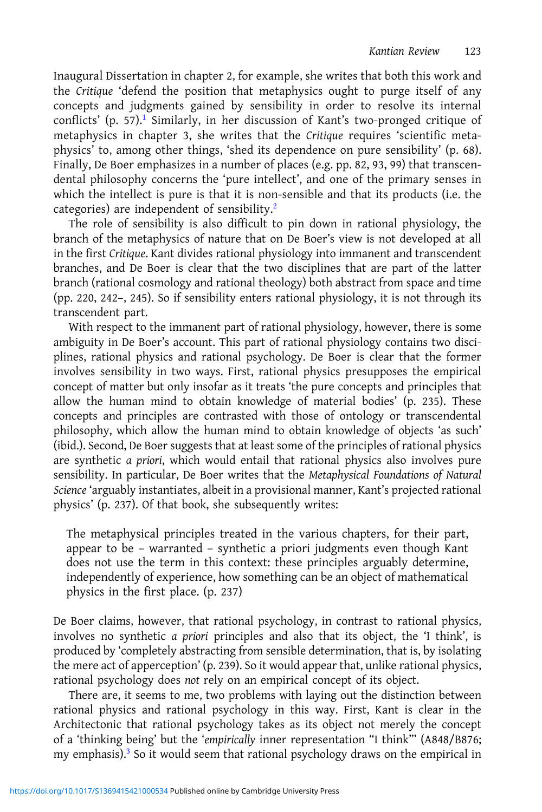Inaugural Dissertation in chapter 2, for example, she writes that both this work and the Critique 'defend the position that metaphysics ought to purge itself of any concepts and judgments gained by sensibility in order to resolve its internal conflicts' (p. 57).<sup>[1](#page-5-0)</sup> Similarly, in her discussion of Kant's two-pronged critique of metaphysics in chapter 3, she writes that the Critique requires 'scientific metaphysics' to, among other things, 'shed its dependence on pure sensibility' (p. 68). Finally, De Boer emphasizes in a number of places (e.g. pp. 82, 93, 99) that transcendental philosophy concerns the 'pure intellect', and one of the primary senses in which the intellect is pure is that it is non-sensible and that its products (i.e. the categories) are independent of sensibility.[2](#page-5-0)

The role of sensibility is also difficult to pin down in rational physiology, the branch of the metaphysics of nature that on De Boer's view is not developed at all in the first Critique. Kant divides rational physiology into immanent and transcendent branches, and De Boer is clear that the two disciplines that are part of the latter branch (rational cosmology and rational theology) both abstract from space and time (pp. 220, 242–, 245). So if sensibility enters rational physiology, it is not through its transcendent part.

With respect to the immanent part of rational physiology, however, there is some ambiguity in De Boer's account. This part of rational physiology contains two disciplines, rational physics and rational psychology. De Boer is clear that the former involves sensibility in two ways. First, rational physics presupposes the empirical concept of matter but only insofar as it treats 'the pure concepts and principles that allow the human mind to obtain knowledge of material bodies' (p. 235). These concepts and principles are contrasted with those of ontology or transcendental philosophy, which allow the human mind to obtain knowledge of objects 'as such' (ibid.). Second, De Boer suggests that at least some of the principles of rational physics are synthetic a priori, which would entail that rational physics also involves pure sensibility. In particular, De Boer writes that the Metaphysical Foundations of Natural Science 'arguably instantiates, albeit in a provisional manner, Kant's projected rational physics' (p. 237). Of that book, she subsequently writes:

The metaphysical principles treated in the various chapters, for their part, appear to be – warranted – synthetic a priori judgments even though Kant does not use the term in this context: these principles arguably determine, independently of experience, how something can be an object of mathematical physics in the first place. (p. 237)

De Boer claims, however, that rational psychology, in contrast to rational physics, involves no synthetic a priori principles and also that its object, the 'I think', is produced by 'completely abstracting from sensible determination, that is, by isolating the mere act of apperception' (p. 239). So it would appear that, unlike rational physics, rational psychology does not rely on an empirical concept of its object.

There are, it seems to me, two problems with laying out the distinction between rational physics and rational psychology in this way. First, Kant is clear in the Architectonic that rational psychology takes as its object not merely the concept of a 'thinking being' but the 'empirically inner representation "I think"' (A848/B876; my emphasis). $3$  So it would seem that rational psychology draws on the empirical in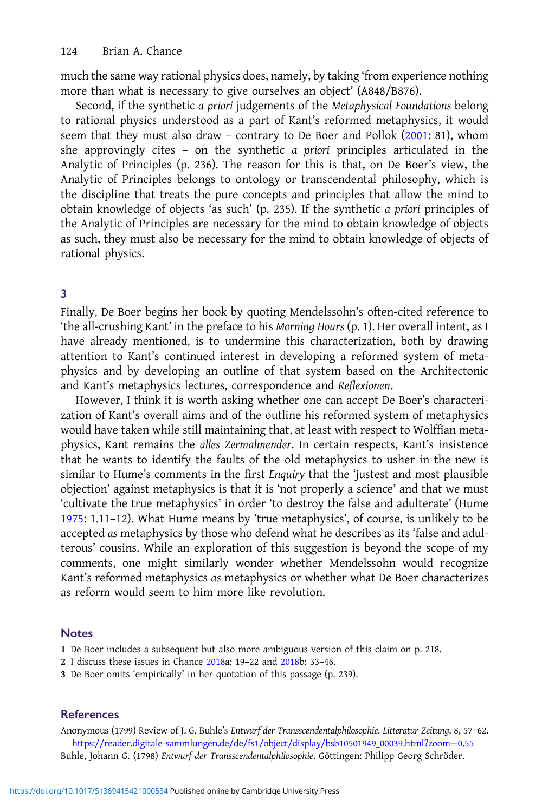<span id="page-5-0"></span>much the same way rational physics does, namely, by taking 'from experience nothing more than what is necessary to give ourselves an object' (A848/B876).

Second, if the synthetic a priori judgements of the Metaphysical Foundations belong to rational physics understood as a part of Kant's reformed metaphysics, it would seem that they must also draw - contrary to De Boer and Pollok ([2001](#page-6-0): 81), whom she approvingly cites – on the synthetic a priori principles articulated in the Analytic of Principles (p. 236). The reason for this is that, on De Boer's view, the Analytic of Principles belongs to ontology or transcendental philosophy, which is the discipline that treats the pure concepts and principles that allow the mind to obtain knowledge of objects 'as such' (p. 235). If the synthetic a priori principles of the Analytic of Principles are necessary for the mind to obtain knowledge of objects as such, they must also be necessary for the mind to obtain knowledge of objects of rational physics.

#### 3

Finally, De Boer begins her book by quoting Mendelssohn's often-cited reference to 'the all-crushing Kant' in the preface to his Morning Hours (p. 1). Her overall intent, as I have already mentioned, is to undermine this characterization, both by drawing attention to Kant's continued interest in developing a reformed system of metaphysics and by developing an outline of that system based on the Architectonic and Kant's metaphysics lectures, correspondence and Reflexionen.

However, I think it is worth asking whether one can accept De Boer's characterization of Kant's overall aims and of the outline his reformed system of metaphysics would have taken while still maintaining that, at least with respect to Wolffian metaphysics, Kant remains the alles Zermalmender. In certain respects, Kant's insistence that he wants to identify the faults of the old metaphysics to usher in the new is similar to Hume's comments in the first Enquiry that the 'justest and most plausible objection' against metaphysics is that it is 'not properly a science' and that we must 'cultivate the true metaphysics' in order 'to destroy the false and adulterate' (Hume [1975:](#page-6-0) 1.11–12). What Hume means by 'true metaphysics', of course, is unlikely to be accepted as metaphysics by those who defend what he describes as its 'false and adulterous' cousins. While an exploration of this suggestion is beyond the scope of my comments, one might similarly wonder whether Mendelssohn would recognize Kant's reformed metaphysics as metaphysics or whether what De Boer characterizes as reform would seem to him more like revolution.

#### **Notes**

1 De Boer includes a subsequent but also more ambiguous version of this claim on p. 218.

- 2 I discuss these issues in Chance [2018a](#page-6-0): 19–22 and [2018b](#page-6-0): 33–46.
- 3 De Boer omits 'empirically' in her quotation of this passage (p. 239).

## References

Anonymous (1799) Review of J. G. Buhle's Entwurf der Transscendentalphilosophie. Litteratur-Zeitung, 8, 57–62. [https://reader.digitale-sammlungen.de/de/fs1/object/display/bsb10501949\\_00039.html?zoom](https://reader.digitale-sammlungen.de/de/fs1/object/display/bsb10501949_00039.html?zoom=0.55)=[0.55](https://reader.digitale-sammlungen.de/de/fs1/object/display/bsb10501949_00039.html?zoom=0.55) Buhle, Johann G. (1798) Entwurf der Transscendentalphilosophie. Göttingen: Philipp Georg Schröder.